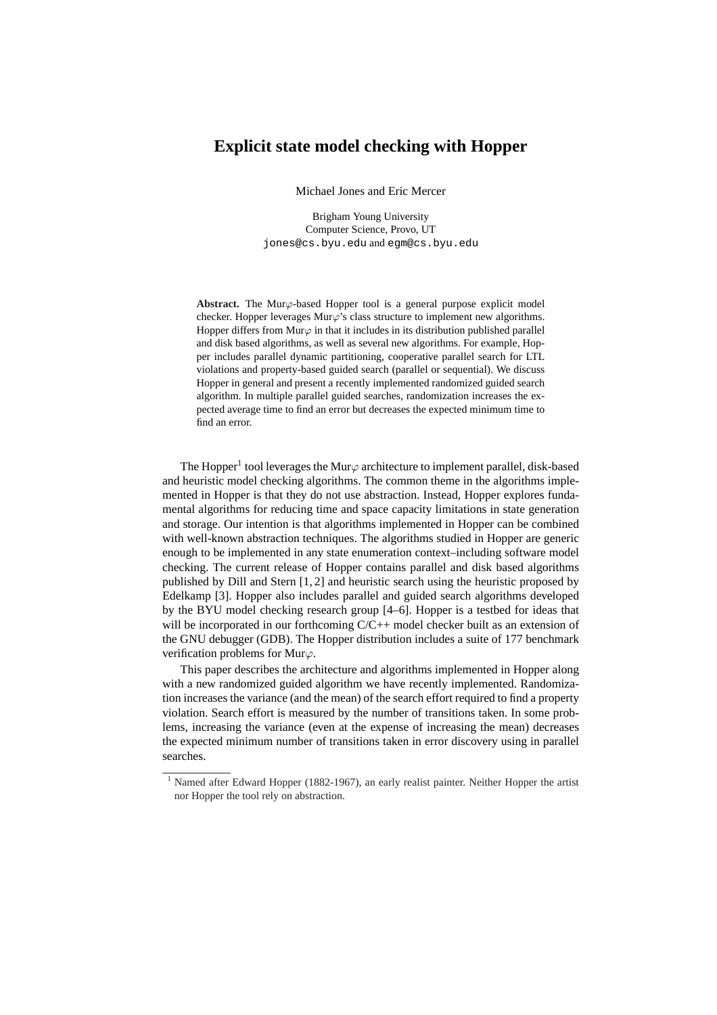# **Explicit state model checking with Hopper**

Michael Jones and Eric Mercer

Brigham Young University Computer Science, Provo, UT jones@cs.byu.edu and egm@cs.byu.edu

Abstract. The Mur $\varphi$ -based Hopper tool is a general purpose explicit model checker. Hopper leverages Mur $\varphi$ 's class structure to implement new algorithms. Hopper differs from Mur $\varphi$  in that it includes in its distribution published parallel and disk based algorithms, as well as several new algorithms. For example, Hopper includes parallel dynamic partitioning, cooperative parallel search for LTL violations and property-based guided search (parallel or sequential). We discuss Hopper in general and present a recently implemented randomized guided search algorithm. In multiple parallel guided searches, randomization increases the expected average time to find an error but decreases the expected minimum time to find an error.

The Hopper<sup>1</sup> tool leverages the Mur $\varphi$  architecture to implement parallel, disk-based and heuristic model checking algorithms. The common theme in the algorithms implemented in Hopper is that they do not use abstraction. Instead, Hopper explores fundamental algorithms for reducing time and space capacity limitations in state generation and storage. Our intention is that algorithms implemented in Hopper can be combined with well-known abstraction techniques. The algorithms studied in Hopper are generic enough to be implemented in any state enumeration context–including software model checking. The current release of Hopper contains parallel and disk based algorithms published by Dill and Stern [1, 2] and heuristic search using the heuristic proposed by Edelkamp [3]. Hopper also includes parallel and guided search algorithms developed by the BYU model checking research group [4–6]. Hopper is a testbed for ideas that will be incorporated in our forthcoming C/C++ model checker built as an extension of the GNU debugger (GDB). The Hopper distribution includes a suite of 177 benchmark verification problems for Mur $\varphi$ .

This paper describes the architecture and algorithms implemented in Hopper along with a new randomized guided algorithm we have recently implemented. Randomization increases the variance (and the mean) of the search effort required to find a property violation. Search effort is measured by the number of transitions taken. In some problems, increasing the variance (even at the expense of increasing the mean) decreases the expected minimum number of transitions taken in error discovery using in parallel searches.

 $1$  Named after Edward Hopper (1882-1967), an early realist painter. Neither Hopper the artist nor Hopper the tool rely on abstraction.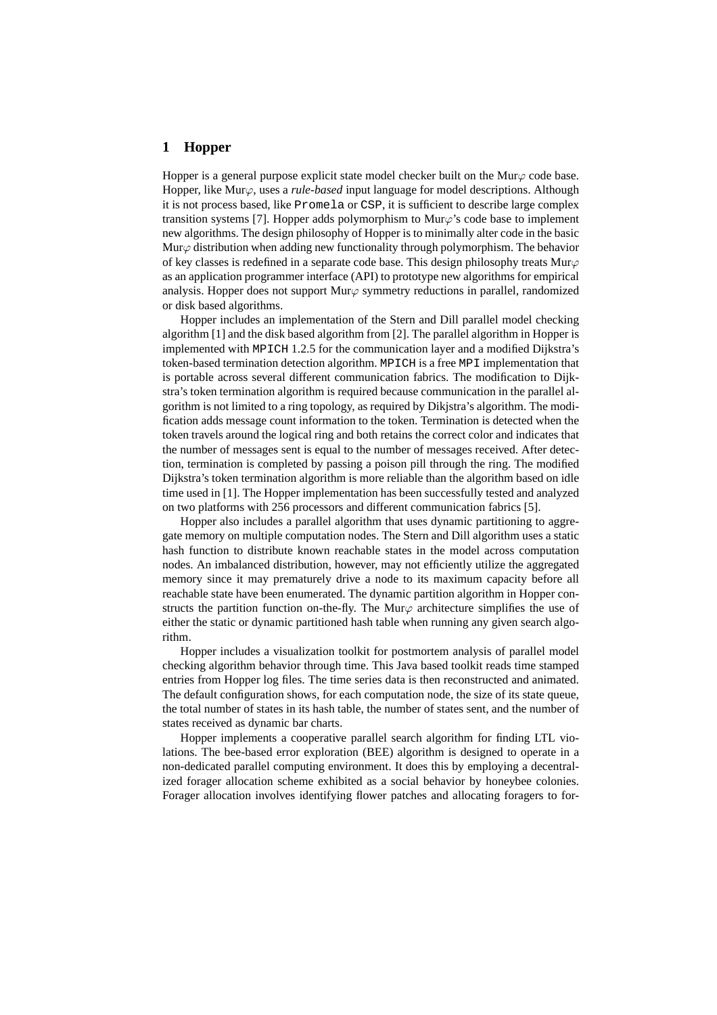### **1 Hopper**

Hopper is a general purpose explicit state model checker built on the Mur $\varphi$  code base. Hopper, like Mur $\varphi$ , uses a *rule-based* input language for model descriptions. Although it is not process based, like Promela or CSP, it is sufficient to describe large complex transition systems [7]. Hopper adds polymorphism to  $Mur\varphi$ 's code base to implement new algorithms. The design philosophy of Hopper is to minimally alter code in the basic Mur $\varphi$  distribution when adding new functionality through polymorphism. The behavior of key classes is redefined in a separate code base. This design philosophy treats Mur $\varphi$ as an application programmer interface (API) to prototype new algorithms for empirical analysis. Hopper does not support Mur $\varphi$  symmetry reductions in parallel, randomized or disk based algorithms.

Hopper includes an implementation of the Stern and Dill parallel model checking algorithm [1] and the disk based algorithm from [2]. The parallel algorithm in Hopper is implemented with MPICH 1.2.5 for the communication layer and a modified Dijkstra's token-based termination detection algorithm. MPICH is a free MPI implementation that is portable across several different communication fabrics. The modification to Dijkstra's token termination algorithm is required because communication in the parallel algorithm is not limited to a ring topology, as required by Dikjstra's algorithm. The modification adds message count information to the token. Termination is detected when the token travels around the logical ring and both retains the correct color and indicates that the number of messages sent is equal to the number of messages received. After detection, termination is completed by passing a poison pill through the ring. The modified Dijkstra's token termination algorithm is more reliable than the algorithm based on idle time used in [1]. The Hopper implementation has been successfully tested and analyzed on two platforms with 256 processors and different communication fabrics [5].

Hopper also includes a parallel algorithm that uses dynamic partitioning to aggregate memory on multiple computation nodes. The Stern and Dill algorithm uses a static hash function to distribute known reachable states in the model across computation nodes. An imbalanced distribution, however, may not efficiently utilize the aggregated memory since it may prematurely drive a node to its maximum capacity before all reachable state have been enumerated. The dynamic partition algorithm in Hopper constructs the partition function on-the-fly. The Mur $\varphi$  architecture simplifies the use of either the static or dynamic partitioned hash table when running any given search algorithm.

Hopper includes a visualization toolkit for postmortem analysis of parallel model checking algorithm behavior through time. This Java based toolkit reads time stamped entries from Hopper log files. The time series data is then reconstructed and animated. The default configuration shows, for each computation node, the size of its state queue, the total number of states in its hash table, the number of states sent, and the number of states received as dynamic bar charts.

Hopper implements a cooperative parallel search algorithm for finding LTL violations. The bee-based error exploration (BEE) algorithm is designed to operate in a non-dedicated parallel computing environment. It does this by employing a decentralized forager allocation scheme exhibited as a social behavior by honeybee colonies. Forager allocation involves identifying flower patches and allocating foragers to for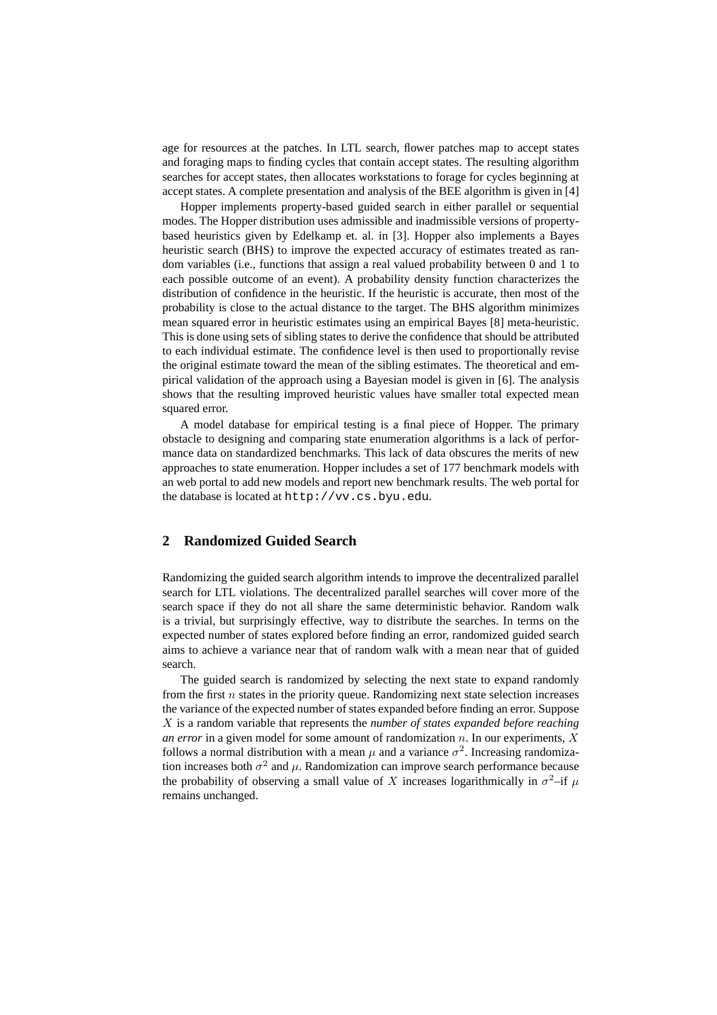age for resources at the patches. In LTL search, flower patches map to accept states and foraging maps to finding cycles that contain accept states. The resulting algorithm searches for accept states, then allocates workstations to forage for cycles beginning at accept states. A complete presentation and analysis of the BEE algorithm is given in [4]

Hopper implements property-based guided search in either parallel or sequential modes. The Hopper distribution uses admissible and inadmissible versions of propertybased heuristics given by Edelkamp et. al. in [3]. Hopper also implements a Bayes heuristic search (BHS) to improve the expected accuracy of estimates treated as random variables (i.e., functions that assign a real valued probability between 0 and 1 to each possible outcome of an event). A probability density function characterizes the distribution of confidence in the heuristic. If the heuristic is accurate, then most of the probability is close to the actual distance to the target. The BHS algorithm minimizes mean squared error in heuristic estimates using an empirical Bayes [8] meta-heuristic. This is done using sets of sibling states to derive the confidence that should be attributed to each individual estimate. The confidence level is then used to proportionally revise the original estimate toward the mean of the sibling estimates. The theoretical and empirical validation of the approach using a Bayesian model is given in [6]. The analysis shows that the resulting improved heuristic values have smaller total expected mean squared error.

A model database for empirical testing is a final piece of Hopper. The primary obstacle to designing and comparing state enumeration algorithms is a lack of performance data on standardized benchmarks. This lack of data obscures the merits of new approaches to state enumeration. Hopper includes a set of 177 benchmark models with an web portal to add new models and report new benchmark results. The web portal for the database is located at http://vv.cs.byu.edu.

#### **2 Randomized Guided Search**

Randomizing the guided search algorithm intends to improve the decentralized parallel search for LTL violations. The decentralized parallel searches will cover more of the search space if they do not all share the same deterministic behavior. Random walk is a trivial, but surprisingly effective, way to distribute the searches. In terms on the expected number of states explored before finding an error, randomized guided search aims to achieve a variance near that of random walk with a mean near that of guided search.

The guided search is randomized by selecting the next state to expand randomly from the first  $n$  states in the priority queue. Randomizing next state selection increases the variance of the expected number of states expanded before finding an error. Suppose X is a random variable that represents the *number of states expanded before reaching an error* in a given model for some amount of randomization  $n$ . In our experiments,  $X$ follows a normal distribution with a mean  $\mu$  and a variance  $\sigma^2$ . Increasing randomization increases both  $\sigma^2$  and  $\mu$ . Randomization can improve search performance because the probability of observing a small value of X increases logarithmically in  $\sigma^2$ -if  $\mu$ remains unchanged.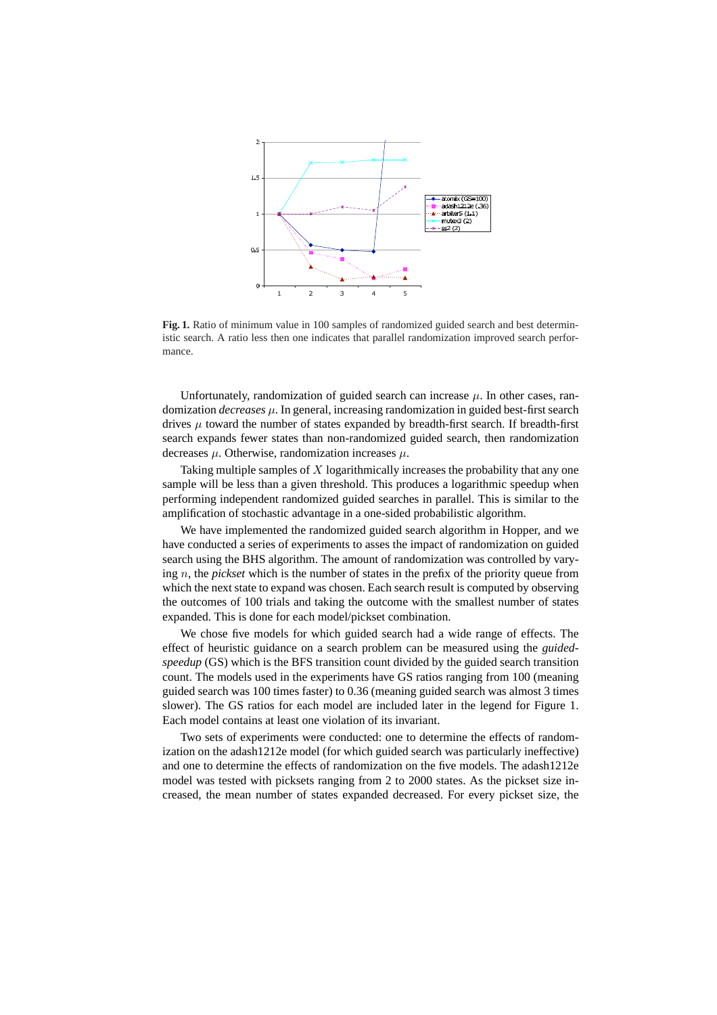

**Fig. 1.** Ratio of minimum value in 100 samples of randomized guided search and best deterministic search. A ratio less then one indicates that parallel randomization improved search performance.

Unfortunately, randomization of guided search can increase  $\mu$ . In other cases, randomization *decreases* µ. In general, increasing randomization in guided best-first search drives  $\mu$  toward the number of states expanded by breadth-first search. If breadth-first search expands fewer states than non-randomized guided search, then randomization decreases  $\mu$ . Otherwise, randomization increases  $\mu$ .

Taking multiple samples of  $X$  logarithmically increases the probability that any one sample will be less than a given threshold. This produces a logarithmic speedup when performing independent randomized guided searches in parallel. This is similar to the amplification of stochastic advantage in a one-sided probabilistic algorithm.

We have implemented the randomized guided search algorithm in Hopper, and we have conducted a series of experiments to asses the impact of randomization on guided search using the BHS algorithm. The amount of randomization was controlled by varying n, the *pickset* which is the number of states in the prefix of the priority queue from which the next state to expand was chosen. Each search result is computed by observing the outcomes of 100 trials and taking the outcome with the smallest number of states expanded. This is done for each model/pickset combination.

We chose five models for which guided search had a wide range of effects. The effect of heuristic guidance on a search problem can be measured using the *guidedspeedup* (GS) which is the BFS transition count divided by the guided search transition count. The models used in the experiments have GS ratios ranging from 100 (meaning guided search was 100 times faster) to 0.36 (meaning guided search was almost 3 times slower). The GS ratios for each model are included later in the legend for Figure 1. Each model contains at least one violation of its invariant.

Two sets of experiments were conducted: one to determine the effects of randomization on the adash1212e model (for which guided search was particularly ineffective) and one to determine the effects of randomization on the five models. The adash1212e model was tested with picksets ranging from 2 to 2000 states. As the pickset size increased, the mean number of states expanded decreased. For every pickset size, the